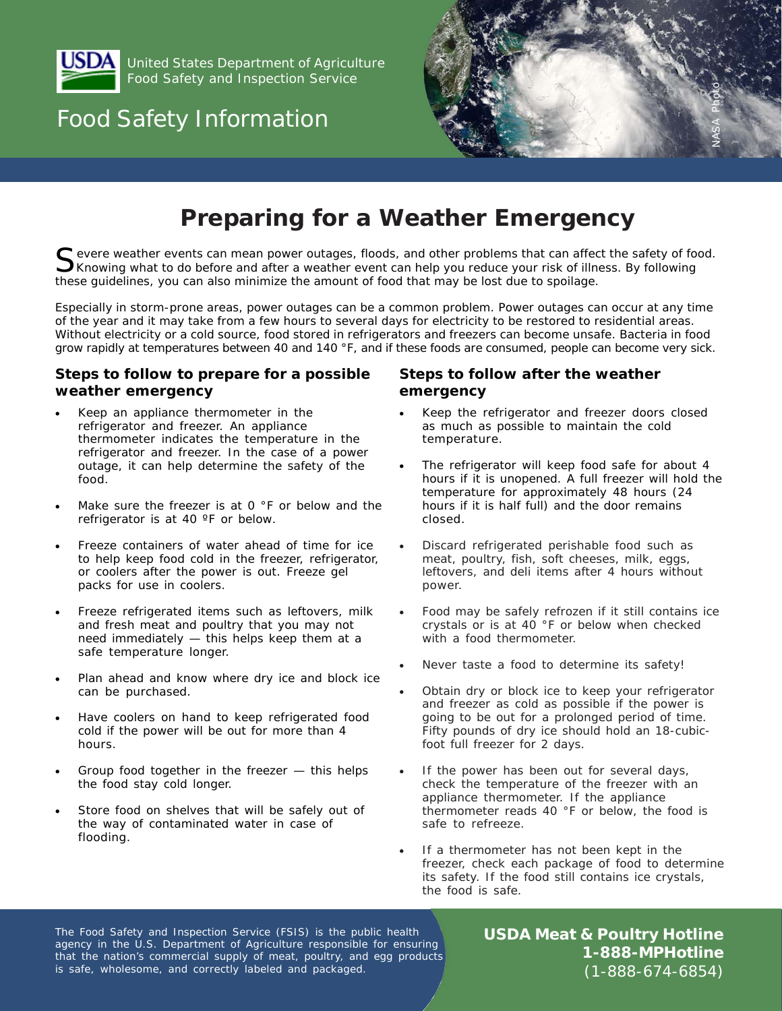

United States Department of Agriculture Food Safety and Inspection Service

# Food Safety Information



# **Preparing for a Weather Emergency**

Severe weather events can mean power outages, floods, and other problems that can affect the safety of food.<br>Sknowing what to do before and after a weather event can help you reduce your risk of illness. By following *these guidelines, you can also minimize the amount of food that may be lost due to spoilage.*

*Especially in storm-prone areas, power outages can be a common problem. Power outages can occur at any time of the year and it may take from a few hours to several days for electricity to be restored to residential areas. Without electricity or a cold source, food stored in refrigerators and freezers can become unsafe. Bacteria in food grow rapidly at temperatures between 40 and 140 °F, and if these foods are consumed, people can become very sick.*

### **Steps to follow to prepare for a possible weather emergency**

- Keep an appliance thermometer in the refrigerator and freezer. An appliance thermometer indicates the temperature in the refrigerator and freezer. In the case of a power outage, it can help determine the safety of the food.
- Make sure the freezer is at  $0$  °F or below and the refrigerator is at 40 °F or below.
- Freeze containers of water ahead of time for ice to help keep food cold in the freezer, refrigerator, or coolers after the power is out. Freeze gel packs for use in coolers.
- Freeze refrigerated items such as leftovers, milk and fresh meat and poultry that you may not need immediately — this helps keep them at a safe temperature longer.
- Plan ahead and know where dry ice and block ice can be purchased.
- Have coolers on hand to keep refrigerated food cold if the power will be out for more than 4 hours.
- Group food together in the freezer  $-$  this helps the food stay cold longer.
- Store food on shelves that will be safely out of the way of contaminated water in case of flooding.

### **Steps to follow after the weather emergency**

- Keep the refrigerator and freezer doors closed as much as possible to maintain the cold temperature.
- The refrigerator will keep food safe for about 4 hours if it is unopened. A full freezer will hold the temperature for approximately 48 hours (24 hours if it is half full) and the door remains closed.
- Discard refrigerated perishable food such as meat, poultry, fish, soft cheeses, milk, eggs, leftovers, and deli items after 4 hours without power.
- Food may be safely refrozen if it still contains ice crystals or is at 40 °F or below when checked with a food thermometer.
- Never taste a food to determine its safety!
- Obtain dry or block ice to keep your refrigerator and freezer as cold as possible if the power is going to be out for a prolonged period of time. Fifty pounds of dry ice should hold an 18-cubicfoot full freezer for 2 days.
- If the power has been out for several days, check the temperature of the freezer with an appliance thermometer. If the appliance thermometer reads 40 °F or below, the food is safe to refreeze.
- If a thermometer has not been kept in the freezer, check each package of food to determine its safety. If the food still contains ice crystals, the food is safe.

The Food Safety and Inspection Service (FSIS) is the public health agency in the U.S. Department of Agriculture responsible for ensuring that the nation's commercial supply of meat, poultry, and egg products is safe, wholesome, and correctly labeled and packaged.

**USDA Meat & Poultry Hotline 1-888-MPHotline**  $(1-888-674-6854)$